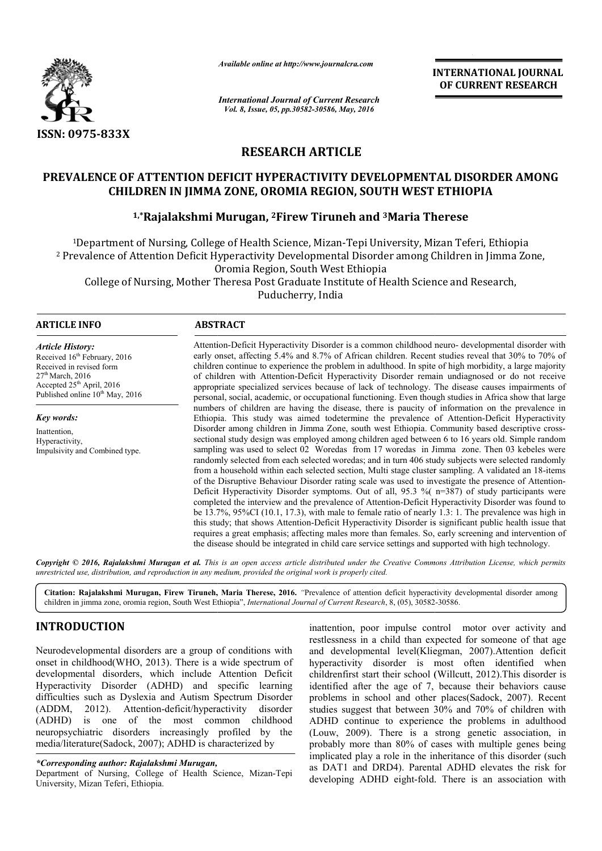

*Available online at http://www.journalcra.com*

*International Journal of Current Research Vol. 8, Issue, 05, pp.30582-30586, May, 2016*

**INTERNATIONAL JOURNAL OF CURRENT RESEARCH** 

# **RESEARCH ARTICLE**

# **PREVALENCE OF ATTENTION DEFICIT HYPERACTIVITY DEVELOPMENTAL DISORDER AMONG CHILDREN IN JIMMA ZONE, OROMIA REGION, SOUTH WEST ETHIOPIA**

# **1,\*Rajalakshmi Murugan, Rajalakshmi 2Firew Tiruneh and 3Maria Therese Maria**

<sup>1</sup>Department of Nursing, College of Health Science, Mizan-Tepi University, Mizan Teferi, Ethiopia <sup>2</sup> Prevalence of Attention Deficit Hyperactivity Developmental Disorder among Children in Jimma Zone, Oromia Region, South West Ethiopia epartment of Nursing, College of Health Science, Mizan-Tepi University, Mizan Teferi, Ethioj<br>alence of Attention Deficit Hyperactivity Developmental Disorder among Children in Jimma<br>College of Nursing, Mother Theresa Post

Puducherry, India

 $\overline{a}$ 

## **ARTICLE INFO ABSTRACT**

*Article History:* Received 16<sup>th</sup> February, 2016 Received in revised form 27<sup>th</sup> March, 2016 Accepted 25<sup>th</sup> April, 2016 Published online  $10^{th}$  May, 2016

*Key words:* Inattention, Hyperactivity, Impulsivity and Combined type.

Attention-Deficit Hyperactivity Disorder is a common childhood neuro- developmental disorder with early onset, affecting 5.4% and 8.7% of African children. Recent studies reveal that 30% to 70% of children c continue to experience the problem in adulthood. In spite of high morbidity, a large majority of children with Attention Attention-Deficit Hyperactivity Disorder remain undiagnosed or do not receive appropriate specialized services because of lack of technology. The disease causes impairments of personal, social, academic, or occupational functioning. Even though studies in Africa show that large numbers of children are having the disease, there is paucity of information on the prevalence in personal, social, academic, or occupational functioning. Even though studies in Africa show that large numbers of children are having the disease, there is paucity of information on the prevalence in Ethiopia. This study w Disorder among children in Jimma Zone, south west Ethiopia. Community based descriptive crosssectional study design was employed among children aged between 6 to 16 years old. Simple random sampling was used to select 02 Woredas from 17 woredas in Jimma zone. Then 03 kebeles were randomly selected from each selected woredas; and in turn 406 study subjects were selected randomly from a household within each selected section, Multi stage cluster sampling. A validated an 18 of the Disruptive Behaviour Disorder rating scale was used to investigate the presence of Attention-Deficit Hyperactivity Disorder symptoms. Out of all, 95.3 % (n=387) of study participants were completed the interview and the prevalence of Attention-Deficit Hyperactivity Disorder was found to be 13.7%, 95%CI (10.1, 17.3), with male to female ratio of nearly 1.3: 1. The prevalence was high in Deficit Hyperactivity Disorder symptoms. Out of all, 95.3 % (n=387) of study participants were completed the interview and the prevalence of Attention-Deficit Hyperactivity Disorder was found to be 13.7%, 95%CI (10.1, 17.3 requires a great emphasis; affecting males more than females. So, early screening and intervention of requires a great emphasis; affecting males more than females. So, early screening and interventio the disease should be integrated in child care service settings and supported with high technology. early onset, affecting 5.4% and 8.7% of African children. Recent studies reveal that 30% to 70% of children continue to experience the problem in adulthood. In spite of high morbidity, a large majority of children with Att sampling was used to select 02 Woredas from 17 woredas in Jimma zone. Then 03 kebeles were randomly selected from each selected woredas; and in turn 406 study subjects were selected randomly from a household within each se **INTERNATIONAL JOURNAL COLURNAL COLURNAL COLURNAL COLUREENT RESEARCH May, 2016**<br>
May, 2016<br>
May, 2016<br>
CLEE<br>
CLEE<br>
CLEE<br>
CLEE<br>
CLEE<br>
CLEE<br>
CLEE<br>
CLEE<br>
CLEE<br>
CLEE<br>
CLEE<br>
CLEE<br>
CLEE<br>
CLEE<br>
CLEE<br>
CLEE<br>
CLEE<br>
CLEE<br>
CLEE<br>
CLEE<br>

Copyright © 2016, Rajalakshmi Murugan et al. This is an open access article distributed under the Creative Commons Attribution License, which permits *unrestricted use, distribution, and reproduction in any medium, provided the original work is properly cited.*

Citation: Rajalakshmi Murugan, Firew Tiruneh, Maria Therese, 2016. "Prevalence of attention deficit hyperactivity developmental disorder among<br>children in jimma zone, oromia region, South West Ethiopia", *International Jou* children in jimma zone, oromia region, South West Ethiopia Ethiopia", *International Journal of Current Research*, 8, (05), 30582

# **INTRODUCTION**

Neurodevelopmental disorders are a group of conditions with onset in childhood(WHO, 2013). There is a wide spectrum of developmental disorders, which include Attention Deficit Hyperactivity Disorder (ADHD) and specific learning difficulties such as Dyslexia and Autism Spectrum Disorder (ADDM, 2012). Attention-deficit/hyperactivity disorder (ADHD) is one of the most common childhood neuropsychiatric disorders increasingly profiled by the media/literature(Sadock, 2007); ADHD is characterized by b.). There is a wide spectrum of<br>ch include Attention Deficit<br>HD) and specific learning<br>nd Autism Spectrum Disorder<br>deficit/hyperactivity disorder<br>most common childhood<br>ncreasingly profiled by the<br>ADHD is characterized by<br>

*\*Corresponding author: Rajalakshmi Murugan,*

Department of Nursing, College of Health Science, Mizan-Tepi University, Mizan Teferi, Ethiopia.

inattention, poor impulse control motor over activity and restlessness in a child than expected for someone of that age and developmental level(Kliegman, 2007). Attention deficit hyperactivity disorder is most often identified when hyperactivity disorder is most often identified when childrenfirst start their school (Willcutt, 2012). This disorder is identified after the age of 7, because their behaviors cause problems in school and other places(Sadock, 2007). Recent problems in school and other places (Sadock, 2007). Recent studies suggest that between 30% and 70% of children with ADHD continue to experience the problems in adulthood (Louw, 2009). There is a strong genetic association, in probably more than 80% of cases with multiple genes being implicated play a role in the inheritance of this disorder (such as DAT1 and DRD4). Parental ADHD elevates the risk for developing ADHD eight-fold. There is an association with poor impulse control motor over activity and<br>in a child than expected for someone of that age<br>pmental level(Kliegman, 2007).Attention deficit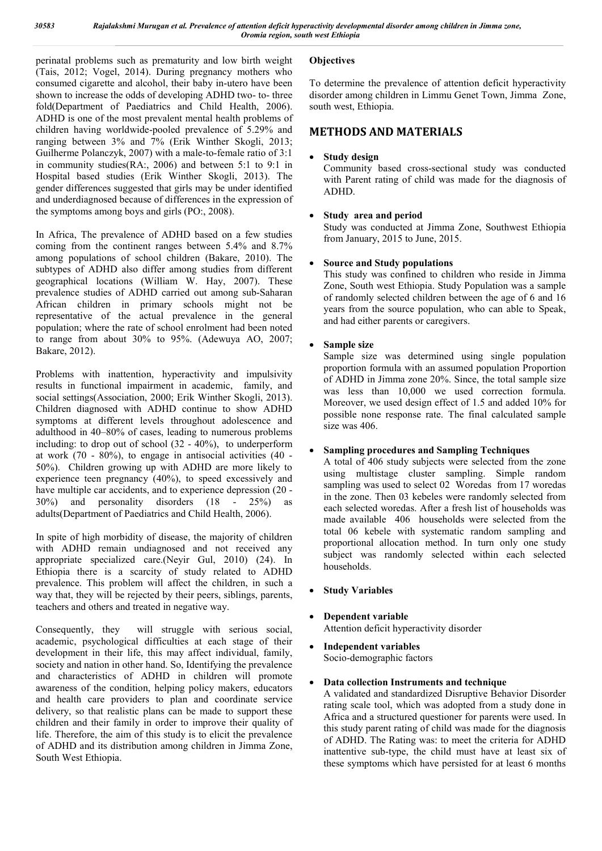perinatal problems such as prematurity and low birth weight (Tais, 2012; Vogel, 2014). During pregnancy mothers who consumed cigarette and alcohol, their baby in-utero have been shown to increase the odds of developing ADHD two- to- three fold(Department of Paediatrics and Child Health, 2006). ADHD is one of the most prevalent mental health problems of children having worldwide-pooled prevalence of 5.29% and ranging between 3% and 7% (Erik Winther Skogli, 2013; Guilherme Polanczyk, 2007) with a male-to-female ratio of 3:1 in community studies(RA:, 2006) and between 5:1 to 9:1 in Hospital based studies (Erik Winther Skogli, 2013). The gender differences suggested that girls may be under identified and underdiagnosed because of differences in the expression of the symptoms among boys and girls (PO:, 2008).

In Africa, The prevalence of ADHD based on a few studies coming from the continent ranges between 5.4% and 8.7% among populations of school children (Bakare, 2010). The subtypes of ADHD also differ among studies from different geographical locations (William W. Hay, 2007). These prevalence studies of ADHD carried out among sub-Saharan African children in primary schools might not be representative of the actual prevalence in the general population; where the rate of school enrolment had been noted to range from about 30% to 95%. (Adewuya AO, 2007; Bakare, 2012).

Problems with inattention, hyperactivity and impulsivity results in functional impairment in academic, family, and social settings(Association, 2000; Erik Winther Skogli, 2013). Children diagnosed with ADHD continue to show ADHD symptoms at different levels throughout adolescence and adulthood in 40–80% of cases, leading to numerous problems including: to drop out of school (32 - 40%), to underperform at work (70 - 80%), to engage in antisocial activities (40 - 50%). Children growing up with ADHD are more likely to experience teen pregnancy (40%), to speed excessively and have multiple car accidents, and to experience depression (20 - 30%) and personality disorders (18 - 25%) as adults(Department of Paediatrics and Child Health, 2006).

In spite of high morbidity of disease, the majority of children with ADHD remain undiagnosed and not received any appropriate specialized care.(Neyir Gul, 2010) (24). In Ethiopia there is a scarcity of study related to ADHD prevalence. This problem will affect the children, in such a way that, they will be rejected by their peers, siblings, parents, teachers and others and treated in negative way.

Consequently, they will struggle with serious social, academic, psychological difficulties at each stage of their development in their life, this may affect individual, family, society and nation in other hand. So, Identifying the prevalence and characteristics of ADHD in children will promote awareness of the condition, helping policy makers, educators and health care providers to plan and coordinate service delivery, so that realistic plans can be made to support these children and their family in order to improve their quality of life. Therefore, the aim of this study is to elicit the prevalence of ADHD and its distribution among children in Jimma Zone, South West Ethiopia.

# **Objectives**

To determine the prevalence of attention deficit hyperactivity disorder among children in Limmu Genet Town, Jimma Zone, south west, Ethiopia.

# **METHODS AND MATERIALS**

# **Study design**

Community based cross-sectional study was conducted with Parent rating of child was made for the diagnosis of ADHD.

## **Study area and period**

Study was conducted at Jimma Zone, Southwest Ethiopia from January, 2015 to June, 2015.

## **Source and Study populations**

This study was confined to children who reside in Jimma Zone, South west Ethiopia. Study Population was a sample of randomly selected children between the age of 6 and 16 years from the source population, who can able to Speak, and had either parents or caregivers.

## **Sample size**

Sample size was determined using single population proportion formula with an assumed population Proportion of ADHD in Jimma zone 20%. Since, the total sample size was less than 10,000 we used correction formula. Moreover, we used design effect of 1.5 and added 10% for possible none response rate. The final calculated sample size was 406.

## **Sampling procedures and Sampling Techniques**

A total of 406 study subjects were selected from the zone using multistage cluster sampling. Simple random sampling was used to select 02 Woredas from 17 woredas in the zone. Then 03 kebeles were randomly selected from each selected woredas. After a fresh list of households was made available 406 households were selected from the total 06 kebele with systematic random sampling and proportional allocation method. In turn only one study subject was randomly selected within each selected households.

- **Study Variables**
- **Dependent variable** Attention deficit hyperactivity disorder
- **Independent variables** Socio-demographic factors

## **Data collection Instruments and technique**

A validated and standardized Disruptive Behavior Disorder rating scale tool, which was adopted from a study done in Africa and a structured questioner for parents were used. In this study parent rating of child was made for the diagnosis of ADHD. The Rating was: to meet the criteria for ADHD inattentive sub-type, the child must have at least six of these symptoms which have persisted for at least 6 months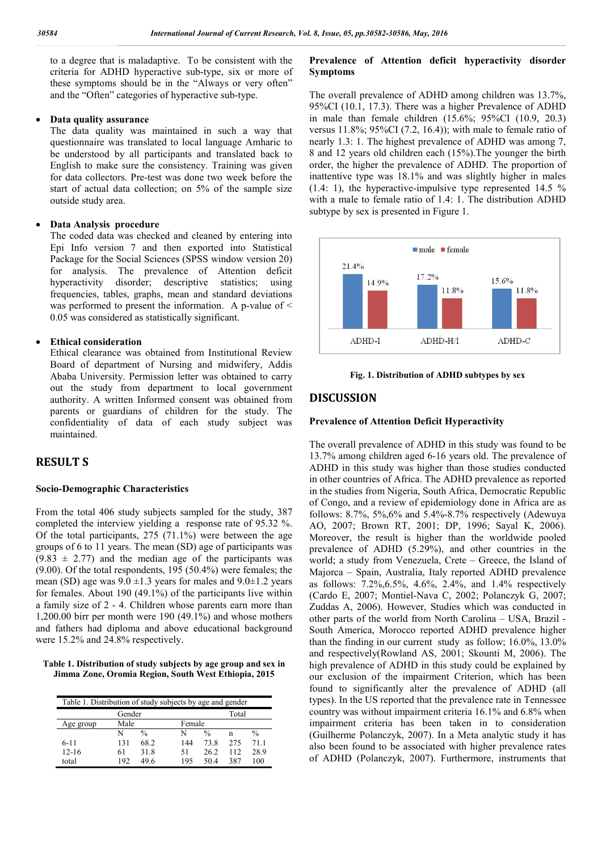to a degree that is maladaptive. To be consistent with the criteria for ADHD hyperactive sub-type, six or more of these symptoms should be in the "Always or very often" and the "Often" categories of hyperactive sub-type.

### **Data quality assurance**

The data quality was maintained in such a way that questionnaire was translated to local language Amharic to be understood by all participants and translated back to English to make sure the consistency. Training was given for data collectors. Pre-test was done two week before the start of actual data collection; on 5% of the sample size outside study area.

### **Data Analysis procedure**

The coded data was checked and cleaned by entering into Epi Info version 7 and then exported into Statistical Package for the Social Sciences (SPSS window version 20) for analysis. The prevalence of Attention deficit hyperactivity disorder; descriptive statistics; using frequencies, tables, graphs, mean and standard deviations was performed to present the information. A p-value of < 0.05 was considered as statistically significant.

### **Ethical consideration**

Ethical clearance was obtained from Institutional Review Board of department of Nursing and midwifery, Addis Ababa University. Permission letter was obtained to carry out the study from department to local government authority. A written Informed consent was obtained from parents or guardians of children for the study. The confidentiality of data of each study subject was maintained.

## **RESULT S**

#### **Socio-Demographic Characteristics**

From the total 406 study subjects sampled for the study, 387 completed the interview yielding a response rate of 95.32 %. Of the total participants, 275 (71.1%) were between the age groups of 6 to 11 years. The mean (SD) age of participants was  $(9.83 \pm 2.77)$  and the median age of the participants was (9.00). Of the total respondents, 195 (50.4%) were females; the mean (SD) age was  $9.0 \pm 1.3$  years for males and  $9.0 \pm 1.2$  years for females. About 190 (49.1%) of the participants live within a family size of 2 - 4. Children whose parents earn more than 1,200.00 birr per month were 190 (49.1%) and whose mothers and fathers had diploma and above educational background were 15.2% and 24.8% respectively.

**Table 1. Distribution of study subjects by age group and sex in Jimma Zone, Oromia Region, South West Ethiopia, 2015**

| Table 1. Distribution of study subjects by age and gender |        |               |     |               |     |               |  |
|-----------------------------------------------------------|--------|---------------|-----|---------------|-----|---------------|--|
|                                                           | Gender |               |     | Total         |     |               |  |
| Age group                                                 | Male   |               |     | Female        |     |               |  |
|                                                           | N      | $\frac{0}{0}$ | N   | $\frac{0}{0}$ | n   | $\frac{0}{0}$ |  |
| $6 - 11$                                                  | 131    | 68.2          | 144 | 73.8          | 275 | 711           |  |
| $12 - 16$                                                 | 61     | 31.8          | 51  | 26.2          | 112 | 28.9          |  |
| total                                                     | 192    | 49 6          | 195 | 504           | 387 | 100           |  |

## **Prevalence of Attention deficit hyperactivity disorder Symptoms**

The overall prevalence of ADHD among children was 13.7%, 95%CI (10.1, 17.3). There was a higher Prevalence of ADHD in male than female children (15.6%; 95%CI (10.9, 20.3) versus 11.8%; 95%CI (7.2, 16.4)); with male to female ratio of nearly 1.3: 1. The highest prevalence of ADHD was among 7, 8 and 12 years old children each (15%).The younger the birth order, the higher the prevalence of ADHD. The proportion of inattentive type was 18.1% and was slightly higher in males (1.4: 1), the hyperactive-impulsive type represented 14.5 % with a male to female ratio of 1.4: 1. The distribution ADHD subtype by sex is presented in Figure 1.





## **DISCUSSION**

#### **Prevalence of Attention Deficit Hyperactivity**

The overall prevalence of ADHD in this study was found to be 13.7% among children aged 6-16 years old. The prevalence of ADHD in this study was higher than those studies conducted in other countries of Africa. The ADHD prevalence as reported in the studies from Nigeria, South Africa, Democratic Republic of Congo, and a review of epidemiology done in Africa are as follows: 8.7%, 5%,6% and 5.4%-8.7% respectively (Adewuya AO, 2007; Brown RT, 2001; DP, 1996; Sayal K, 2006). Moreover, the result is higher than the worldwide pooled prevalence of ADHD (5.29%), and other countries in the world; a study from Venezuela, Crete – Greece, the Island of Majorca – Spain, Australia, Italy reported ADHD prevalence as follows: 7.2%,6.5%, 4.6%, 2.4%, and 1.4% respectively (Cardo E, 2007; Montiel-Nava C, 2002; Polanczyk G, 2007; Zuddas A, 2006). However, Studies which was conducted in other parts of the world from North Carolina – USA, Brazil - South America, Morocco reported ADHD prevalence higher than the finding in our current study as follow; 16.0%, 13.0% and respectively(Rowland AS, 2001; Skounti M, 2006). The high prevalence of ADHD in this study could be explained by our exclusion of the impairment Criterion, which has been found to significantly alter the prevalence of ADHD (all types). In the US reported that the prevalence rate in Tennessee country was without impairment criteria 16.1% and 6.8% when impairment criteria has been taken in to consideration (Guilherme Polanczyk, 2007). In a Meta analytic study it has also been found to be associated with higher prevalence rates of ADHD (Polanczyk, 2007). Furthermore, instruments that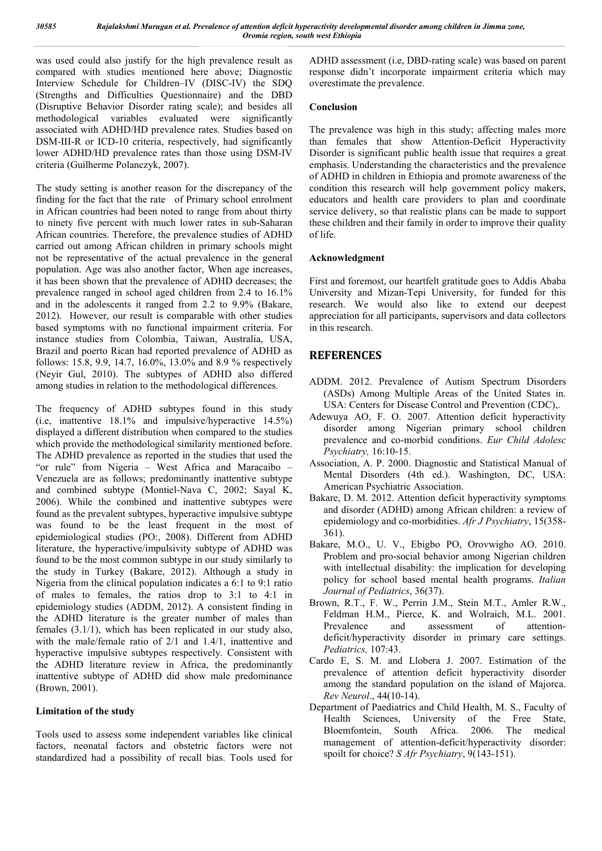was used could also justify for the high prevalence result as compared with studies mentioned here above; Diagnostic Interview Schedule for Children–IV (DISC-IV) the SDQ (Strengths and Difficulties Questionnaire) and the DBD (Disruptive Behavior Disorder rating scale); and besides all methodological variables evaluated were significantly associated with ADHD/HD prevalence rates. Studies based on DSM-III-R or ICD-10 criteria, respectively, had significantly lower ADHD/HD prevalence rates than those using DSM-IV criteria (Guilherme Polanczyk, 2007).

The study setting is another reason for the discrepancy of the finding for the fact that the rate of Primary school enrolment in African countries had been noted to range from about thirty to ninety five percent with much lower rates in sub-Saharan African countries. Therefore, the prevalence studies of ADHD carried out among African children in primary schools might not be representative of the actual prevalence in the general population. Age was also another factor, When age increases, it has been shown that the prevalence of ADHD decreases; the prevalence ranged in school aged children from 2.4 to 16.1% and in the adolescents it ranged from 2.2 to 9.9% (Bakare, 2012). However, our result is comparable with other studies based symptoms with no functional impairment criteria. For instance studies from Colombia, Taiwan, Australia, USA, Brazil and poerto Rican had reported prevalence of ADHD as follows: 15.8, 9.9, 14.7, 16.0%, 13.0% and 8.9 % respectively (Neyir Gul, 2010). The subtypes of ADHD also differed among studies in relation to the methodological differences.

The frequency of ADHD subtypes found in this study (i.e, inattentive 18.1% and impulsive/hyperactive 14.5%) displayed a different distribution when compared to the studies which provide the methodological similarity mentioned before. The ADHD prevalence as reported in the studies that used the "or rule" from Nigeria – West Africa and Maracaibo – Venezuela are as follows; predominantly inattentive subtype and combined subtype (Montiel-Nava C, 2002; Sayal K, 2006). While the combined and inattentive subtypes were found as the prevalent subtypes, hyperactive impulsive subtype was found to be the least frequent in the most of epidemiological studies (PO:, 2008). Different from ADHD literature, the hyperactive/impulsivity subtype of ADHD was found to be the most common subtype in our study similarly to the study in Turkey (Bakare, 2012). Although a study in Nigeria from the clinical population indicates a 6:1 to 9:1 ratio of males to females, the ratios drop to 3:1 to 4:1 in epidemiology studies (ADDM, 2012). A consistent finding in the ADHD literature is the greater number of males than females (3.1/1), which has been replicated in our study also, with the male/female ratio of 2/1 and 1.4/1, inattentive and hyperactive impulsive subtypes respectively. Consistent with the ADHD literature review in Africa, the predominantly inattentive subtype of ADHD did show male predominance (Brown, 2001).

## **Limitation of the study**

Tools used to assess some independent variables like clinical factors, neonatal factors and obstetric factors were not standardized had a possibility of recall bias. Tools used for ADHD assessment (i.e, DBD-rating scale) was based on parent response didn't incorporate impairment criteria which may overestimate the prevalence.

## **Conclusion**

The prevalence was high in this study; affecting males more than females that show Attention-Deficit Hyperactivity Disorder is significant public health issue that requires a great emphasis. Understanding the characteristics and the prevalence of ADHD in children in Ethiopia and promote awareness of the condition this research will help government policy makers, educators and health care providers to plan and coordinate service delivery, so that realistic plans can be made to support these children and their family in order to improve their quality of life.

## **Acknowledgment**

First and foremost, our heartfelt gratitude goes to Addis Ababa University and Mizan-Tepi University, for funded for this research. We would also like to extend our deepest appreciation for all participants, supervisors and data collectors in this research.

# **REFERENCES**

- ADDM. 2012. Prevalence of Autism Spectrum Disorders (ASDs) Among Multiple Areas of the United States in. USA: Centers for Disease Control and Prevention (CDC),.
- Adewuya AO, F. O. 2007. Attention deficit hyperactivity disorder among Nigerian primary school children prevalence and co-morbid conditions. *Eur Child Adolesc Psychiatry,* 16:10-15.
- Association, A. P. 2000. Diagnostic and Statistical Manual of Mental Disorders (4th ed.). Washington, DC, USA: American Psychiatric Association.
- Bakare, D. M. 2012. Attention deficit hyperactivity symptoms and disorder (ADHD) among African children: a review of epidemiology and co-morbidities. *Afr J Psychiatry*, 15(358- 361).
- Bakare, M.O., U. V., Ebigbo PO, Orovwigho AO. 2010. Problem and pro-social behavior among Nigerian children with intellectual disability: the implication for developing policy for school based mental health programs. *Italian Journal of Pediatrics*, 36(37).
- Brown, R.T., F. W., Perrin J.M., Stein M.T., Amler R.W., Feldman H.M., Pierce, K. and Wolraich, M.L. 2001.<br>Prevalence and assessment of attention-Prevalence and assessment of attentiondeficit/hyperactivity disorder in primary care settings. *Pediatrics,* 107:43.
- Cardo E, S. M. and Llobera J. 2007. Estimation of the prevalence of attention deficit hyperactivity disorder among the standard population on the island of Majorca. *Rev Neurol*., 44(10-14).
- Department of Paediatrics and Child Health, M. S., Faculty of Health Sciences, University of the Free State, Bloemfontein, South Africa. 2006. The medical management of attention-deficit/hyperactivity disorder: spoilt for choice? *S Afr Psychiatry*, 9(143-151).